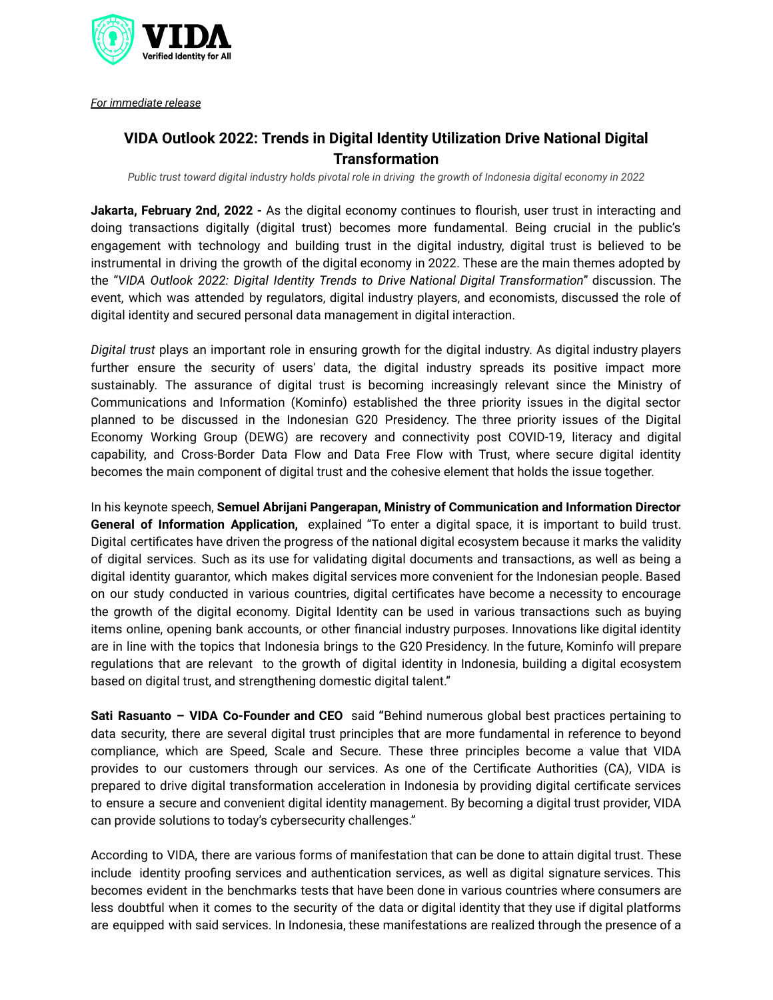

*For immediate release*

## **VIDA Outlook 2022: Trends in Digital Identity Utilization Drive National Digital Transformation**

Public trust toward digital industry holds pivotal role in driving the growth of Indonesia digital economy in 2022

**Jakarta, February 2nd, 2022 -** As the digital economy continues to flourish, user trust in interacting and doing transactions digitally (digital trust) becomes more fundamental. Being crucial in the public's engagement with technology and building trust in the digital industry, digital trust is believed to be instrumental in driving the growth of the digital economy in 2022. These are the main themes adopted by the "*VIDA Outlook 2022: Digital Identity Trends to Drive National Digital Transformation*" discussion. The event, which was attended by regulators, digital industry players, and economists, discussed the role of digital identity and secured personal data management in digital interaction.

*Digital trust* plays an important role in ensuring growth for the digital industry. As digital industry players further ensure the security of users' data, the digital industry spreads its positive impact more sustainably. The assurance of digital trust is becoming increasingly relevant since the Ministry of Communications and Information (Kominfo) established the three priority issues in the digital sector planned to be discussed in the Indonesian G20 Presidency. The three priority issues of the Digital Economy Working Group (DEWG) are recovery and connectivity post COVID-19, literacy and digital capability, and Cross-Border Data Flow and Data Free Flow with Trust, where secure digital identity becomes the main component of digital trust and the cohesive element that holds the issue together.

In his keynote speech, **Semuel Abrijani Pangerapan, Ministry of Communication and Information Director General of Information Application,** explained "To enter a digital space, it is important to build trust. Digital certificates have driven the progress of the national digital ecosystem because it marks the validity of digital services. Such as its use for validating digital documents and transactions, as well as being a digital identity guarantor, which makes digital services more convenient for the Indonesian people. Based on our study conducted in various countries, digital certificates have become a necessity to encourage the growth of the digital economy. Digital Identity can be used in various transactions such as buying items online, opening bank accounts, or other financial industry purposes. Innovations like digital identity are in line with the topics that Indonesia brings to the G20 Presidency. In the future, Kominfo will prepare regulations that are relevant to the growth of digital identity in Indonesia, building a digital ecosystem based on digital trust, and strengthening domestic digital talent."

**Sati Rasuanto – VIDA Co-Founder and CEO** said **"**Behind numerous global best practices pertaining to data security, there are several digital trust principles that are more fundamental in reference to beyond compliance, which are Speed, Scale and Secure. These three principles become a value that VIDA provides to our customers through our services. As one of the Certificate Authorities (CA), VIDA is prepared to drive digital transformation acceleration in Indonesia by providing digital certificate services to ensure a secure and convenient digital identity management. By becoming a digital trust provider, VIDA can provide solutions to today's cybersecurity challenges."

According to VIDA, there are various forms of manifestation that can be done to attain digital trust. These include identity proofing services and authentication services, as well as digital signature services. This becomes evident in the benchmarks tests that have been done in various countries where consumers are less doubtful when it comes to the security of the data or digital identity that they use if digital platforms are equipped with said services. In Indonesia, these manifestations are realized through the presence of a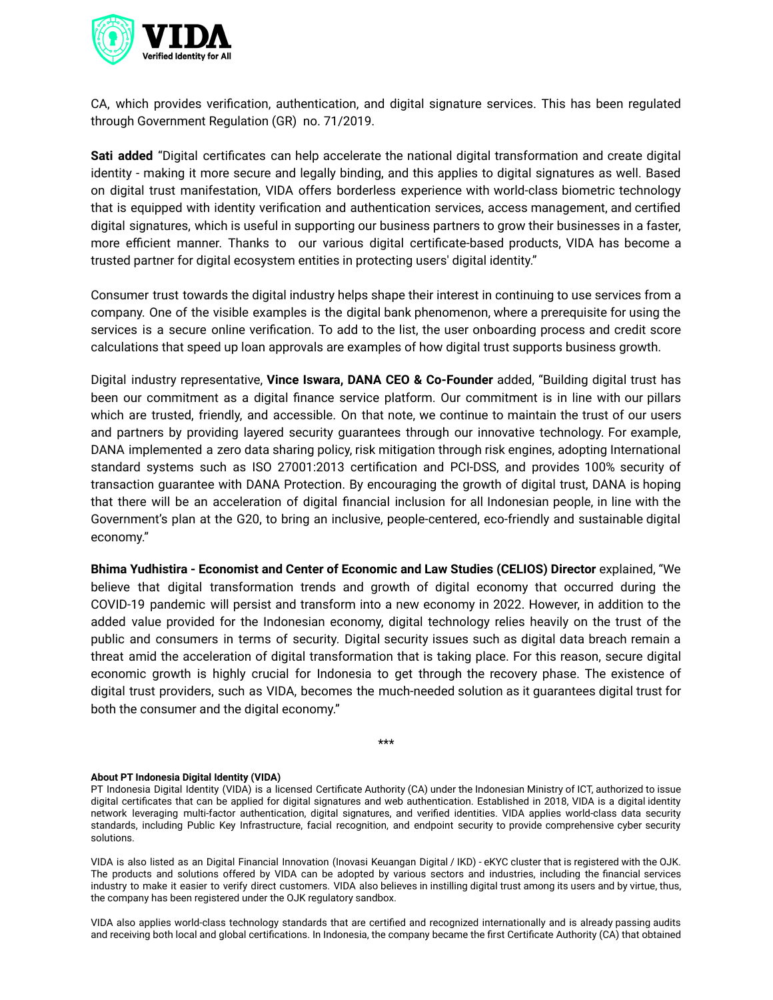

CA, which provides verification, authentication, and digital signature services. This has been regulated through Government Regulation (GR) no. 71/2019.

**Sati added** "Digital certificates can help accelerate the national digital transformation and create digital identity - making it more secure and legally binding, and this applies to digital signatures as well. Based on digital trust manifestation, VIDA offers borderless experience with world-class biometric technology that is equipped with identity verification and authentication services, access management, and certified digital signatures, which is useful in supporting our business partners to grow their businesses in a faster, more efficient manner. Thanks to our various digital certificate-based products, VIDA has become a trusted partner for digital ecosystem entities in protecting users' digital identity."

Consumer trust towards the digital industry helps shape their interest in continuing to use services from a company. One of the visible examples is the digital bank phenomenon, where a prerequisite for using the services is a secure online verification. To add to the list, the user onboarding process and credit score calculations that speed up loan approvals are examples of how digital trust supports business growth.

Digital industry representative, **Vince Iswara, DANA CEO & Co-Founder** added, "Building digital trust has been our commitment as a digital finance service platform. Our commitment is in line with our pillars which are trusted, friendly, and accessible. On that note, we continue to maintain the trust of our users and partners by providing layered security guarantees through our innovative technology. For example, DANA implemented a zero data sharing policy, risk mitigation through risk engines, adopting International standard systems such as ISO 27001:2013 certification and PCI-DSS, and provides 100% security of transaction guarantee with DANA Protection. By encouraging the growth of digital trust, DANA is hoping that there will be an acceleration of digital financial inclusion for all Indonesian people, in line with the Government's plan at the G20, to bring an inclusive, people-centered, eco-friendly and sustainable digital economy."

**Bhima Yudhistira - Economist and Center of Economic and Law Studies (CELIOS) Director** explained, "We believe that digital transformation trends and growth of digital economy that occurred during the COVID-19 pandemic will persist and transform into a new economy in 2022. However, in addition to the added value provided for the Indonesian economy, digital technology relies heavily on the trust of the public and consumers in terms of security. Digital security issues such as digital data breach remain a threat amid the acceleration of digital transformation that is taking place. For this reason, secure digital economic growth is highly crucial for Indonesia to get through the recovery phase. The existence of digital trust providers, such as VIDA, becomes the much-needed solution as it guarantees digital trust for both the consumer and the digital economy."

\*\*\*

## **About PT Indonesia Digital Identity (VIDA)**

PT Indonesia Digital Identity (VIDA) is a licensed Certificate Authority (CA) under the Indonesian Ministry of ICT, authorized to issue digital certificates that can be applied for digital signatures and web authentication. Established in 2018, VIDA is a digital identity network leveraging multi-factor authentication, digital signatures, and verified identities. VIDA applies world-class data security standards, including Public Key Infrastructure, facial recognition, and endpoint security to provide comprehensive cyber security solutions.

VIDA is also listed as an Digital Financial Innovation (Inovasi Keuangan Digital / IKD) - eKYC cluster that is registered with the OJK. The products and solutions offered by VIDA can be adopted by various sectors and industries, including the financial services industry to make it easier to verify direct customers. VIDA also believes in instilling digital trust among its users and by virtue, thus, the company has been registered under the OJK regulatory sandbox.

VIDA also applies world-class technology standards that are certified and recognized internationally and is already passing audits and receiving both local and global certifications. In Indonesia, the company became the first Certificate Authority (CA) that obtained